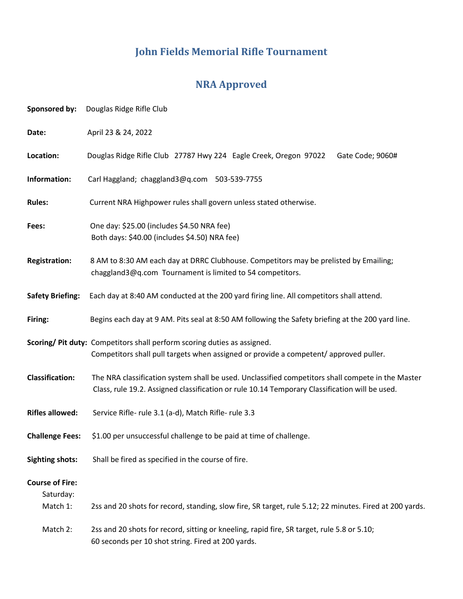# **John Fields Memorial Rifle Tournament**

## **NRA Approved**

| Sponsored by:                       | Douglas Ridge Rifle Club                                                                                                                                                                            |  |  |
|-------------------------------------|-----------------------------------------------------------------------------------------------------------------------------------------------------------------------------------------------------|--|--|
| Date:                               | April 23 & 24, 2022                                                                                                                                                                                 |  |  |
| Location:                           | Douglas Ridge Rifle Club 27787 Hwy 224 Eagle Creek, Oregon 97022<br>Gate Code; 9060#                                                                                                                |  |  |
| Information:                        | Carl Haggland; chaggland3@q.com 503-539-7755                                                                                                                                                        |  |  |
| <b>Rules:</b>                       | Current NRA Highpower rules shall govern unless stated otherwise.                                                                                                                                   |  |  |
| Fees:                               | One day: \$25.00 (includes \$4.50 NRA fee)<br>Both days: \$40.00 (includes \$4.50) NRA fee)                                                                                                         |  |  |
| <b>Registration:</b>                | 8 AM to 8:30 AM each day at DRRC Clubhouse. Competitors may be prelisted by Emailing;<br>chaggland3@q.com Tournament is limited to 54 competitors.                                                  |  |  |
| <b>Safety Briefing:</b>             | Each day at 8:40 AM conducted at the 200 yard firing line. All competitors shall attend.                                                                                                            |  |  |
| Firing:                             | Begins each day at 9 AM. Pits seal at 8:50 AM following the Safety briefing at the 200 yard line.                                                                                                   |  |  |
|                                     | Scoring/ Pit duty: Competitors shall perform scoring duties as assigned.<br>Competitors shall pull targets when assigned or provide a competent/approved puller.                                    |  |  |
| <b>Classification:</b>              | The NRA classification system shall be used. Unclassified competitors shall compete in the Master<br>Class, rule 19.2. Assigned classification or rule 10.14 Temporary Classification will be used. |  |  |
| <b>Rifles allowed:</b>              | Service Rifle- rule 3.1 (a-d), Match Rifle- rule 3.3                                                                                                                                                |  |  |
| <b>Challenge Fees:</b>              | \$1.00 per unsuccessful challenge to be paid at time of challenge.                                                                                                                                  |  |  |
| <b>Sighting shots:</b>              | Shall be fired as specified in the course of fire.                                                                                                                                                  |  |  |
| <b>Course of Fire:</b><br>Saturday: |                                                                                                                                                                                                     |  |  |
| Match 1:                            | 2ss and 20 shots for record, standing, slow fire, SR target, rule 5.12; 22 minutes. Fired at 200 yards.                                                                                             |  |  |
| Match 2:                            | 2ss and 20 shots for record, sitting or kneeling, rapid fire, SR target, rule 5.8 or 5.10;<br>60 seconds per 10 shot string. Fired at 200 yards.                                                    |  |  |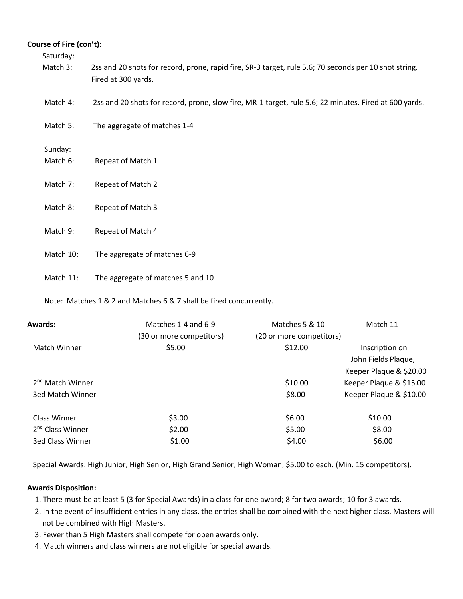### **Course of Fire (con't):**

Saturday:

- Match 3: 2ss and 20 shots for record, prone, rapid fire, SR-3 target, rule 5.6; 70 seconds per 10 shot string. Fired at 300 yards.
- Match 4: 2ss and 20 shots for record, prone, slow fire, MR-1 target, rule 5.6; 22 minutes. Fired at 600 yards.
- Match 5: The aggregate of matches 1-4

Sunday:

- Match 6: Repeat of Match 1
- Match 7: Repeat of Match 2
- Match 8: Repeat of Match 3
- Match 9: Repeat of Match 4
- Match 10: The aggregate of matches 6-9
- Match 11: The aggregate of matches 5 and 10

Note: Matches 1 & 2 and Matches 6 & 7 shall be fired concurrently.

| Awards:                      | Matches 1-4 and 6-9      | Matches 5 & 10           | Match 11                |
|------------------------------|--------------------------|--------------------------|-------------------------|
|                              | (30 or more competitors) | (20 or more competitors) |                         |
| <b>Match Winner</b>          | \$5.00                   | \$12.00                  | Inscription on          |
|                              |                          |                          | John Fields Plaque,     |
|                              |                          |                          | Keeper Plaque & \$20.00 |
| 2 <sup>nd</sup> Match Winner |                          | \$10.00                  | Keeper Plaque & \$15.00 |
| 3ed Match Winner             |                          | \$8.00                   | Keeper Plaque & \$10.00 |
| Class Winner                 | \$3.00                   | \$6.00                   | \$10.00                 |
| 2 <sup>nd</sup> Class Winner | \$2.00                   | \$5.00                   | \$8.00                  |
| <b>3ed Class Winner</b>      | \$1.00                   | \$4.00                   | \$6.00                  |

Special Awards: High Junior, High Senior, High Grand Senior, High Woman; \$5.00 to each. (Min. 15 competitors).

### **Awards Disposition:**

- 1. There must be at least 5 (3 for Special Awards) in a class for one award; 8 for two awards; 10 for 3 awards.
- 2. In the event of insufficient entries in any class, the entries shall be combined with the next higher class. Masters will not be combined with High Masters.
- 3. Fewer than 5 High Masters shall compete for open awards only.
- 4. Match winners and class winners are not eligible for special awards.